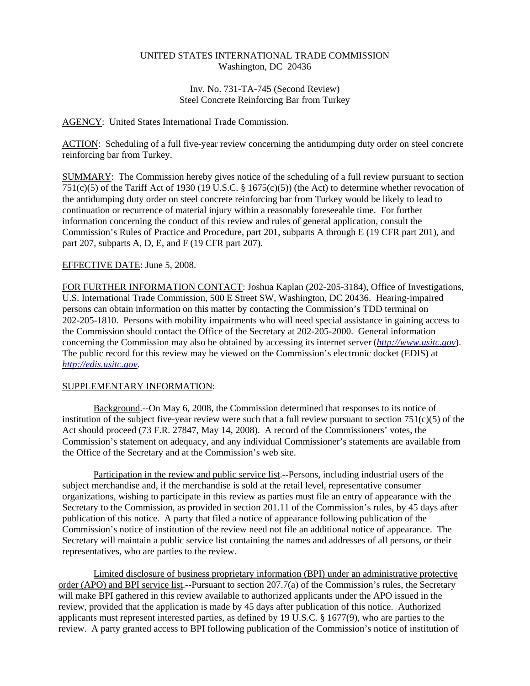# UNITED STATES INTERNATIONAL TRADE COMMISSION Washington, DC 20436

### Inv. No. 731-TA-745 (Second Review) Steel Concrete Reinforcing Bar from Turkey

## AGENCY: United States International Trade Commission.

ACTION: Scheduling of a full five-year review concerning the antidumping duty order on steel concrete reinforcing bar from Turkey.

SUMMARY: The Commission hereby gives notice of the scheduling of a full review pursuant to section 751(c)(5) of the Tariff Act of 1930 (19 U.S.C. § 1675(c)(5)) (the Act) to determine whether revocation of the antidumping duty order on steel concrete reinforcing bar from Turkey would be likely to lead to continuation or recurrence of material injury within a reasonably foreseeable time. For further information concerning the conduct of this review and rules of general application, consult the Commission's Rules of Practice and Procedure, part 201, subparts A through E (19 CFR part 201), and part 207, subparts A, D, E, and F (19 CFR part 207).

## EFFECTIVE DATE: June 5, 2008.

FOR FURTHER INFORMATION CONTACT: Joshua Kaplan (202-205-3184), Office of Investigations, U.S. International Trade Commission, 500 E Street SW, Washington, DC 20436. Hearing-impaired persons can obtain information on this matter by contacting the Commission's TDD terminal on 202-205-1810. Persons with mobility impairments who will need special assistance in gaining access to the Commission should contact the Office of the Secretary at 202-205-2000. General information concerning the Commission may also be obtained by accessing its internet server (*http://www.usitc.gov*). The public record for this review may be viewed on the Commission's electronic docket (EDIS) at *http://edis.usitc.gov*.

## SUPPLEMENTARY INFORMATION:

Background.--On May 6, 2008, the Commission determined that responses to its notice of institution of the subject five-year review were such that a full review pursuant to section  $751(c)(5)$  of the Act should proceed (73 F.R. 27847, May 14, 2008). A record of the Commissioners' votes, the Commission's statement on adequacy, and any individual Commissioner's statements are available from the Office of the Secretary and at the Commission's web site.

Participation in the review and public service list.--Persons, including industrial users of the subject merchandise and, if the merchandise is sold at the retail level, representative consumer organizations, wishing to participate in this review as parties must file an entry of appearance with the Secretary to the Commission, as provided in section 201.11 of the Commission's rules, by 45 days after publication of this notice. A party that filed a notice of appearance following publication of the Commission's notice of institution of the review need not file an additional notice of appearance. The Secretary will maintain a public service list containing the names and addresses of all persons, or their representatives, who are parties to the review.

Limited disclosure of business proprietary information (BPI) under an administrative protective order (APO) and BPI service list.--Pursuant to section 207.7(a) of the Commission's rules, the Secretary will make BPI gathered in this review available to authorized applicants under the APO issued in the review, provided that the application is made by 45 days after publication of this notice. Authorized applicants must represent interested parties, as defined by 19 U.S.C. § 1677(9), who are parties to the review. A party granted access to BPI following publication of the Commission's notice of institution of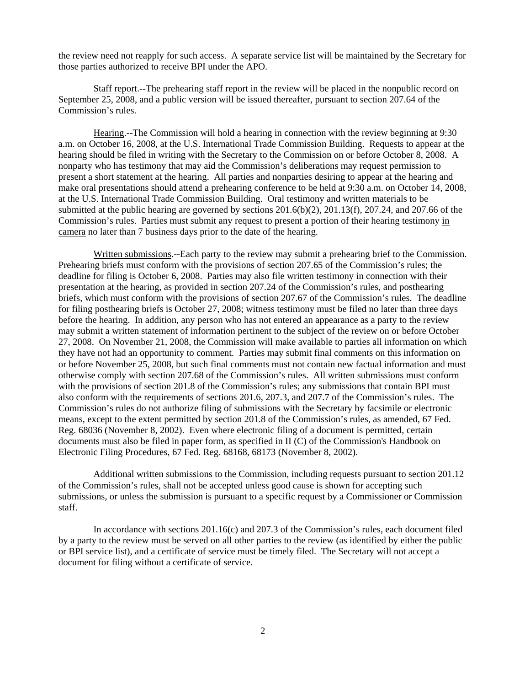the review need not reapply for such access. A separate service list will be maintained by the Secretary for those parties authorized to receive BPI under the APO.

Staff report.--The prehearing staff report in the review will be placed in the nonpublic record on September 25, 2008, and a public version will be issued thereafter, pursuant to section 207.64 of the Commission's rules.

Hearing.--The Commission will hold a hearing in connection with the review beginning at 9:30 a.m. on October 16, 2008, at the U.S. International Trade Commission Building. Requests to appear at the hearing should be filed in writing with the Secretary to the Commission on or before October 8, 2008. A nonparty who has testimony that may aid the Commission's deliberations may request permission to present a short statement at the hearing. All parties and nonparties desiring to appear at the hearing and make oral presentations should attend a prehearing conference to be held at 9:30 a.m. on October 14, 2008, at the U.S. International Trade Commission Building. Oral testimony and written materials to be submitted at the public hearing are governed by sections 201.6(b)(2), 201.13(f), 207.24, and 207.66 of the Commission's rules. Parties must submit any request to present a portion of their hearing testimony in camera no later than 7 business days prior to the date of the hearing.

Written submissions.--Each party to the review may submit a prehearing brief to the Commission. Prehearing briefs must conform with the provisions of section 207.65 of the Commission's rules; the deadline for filing is October 6, 2008. Parties may also file written testimony in connection with their presentation at the hearing, as provided in section 207.24 of the Commission's rules, and posthearing briefs, which must conform with the provisions of section 207.67 of the Commission's rules. The deadline for filing posthearing briefs is October 27, 2008; witness testimony must be filed no later than three days before the hearing. In addition, any person who has not entered an appearance as a party to the review may submit a written statement of information pertinent to the subject of the review on or before October 27, 2008. On November 21, 2008, the Commission will make available to parties all information on which they have not had an opportunity to comment. Parties may submit final comments on this information on or before November 25, 2008, but such final comments must not contain new factual information and must otherwise comply with section 207.68 of the Commission's rules. All written submissions must conform with the provisions of section 201.8 of the Commission's rules; any submissions that contain BPI must also conform with the requirements of sections 201.6, 207.3, and 207.7 of the Commission's rules. The Commission's rules do not authorize filing of submissions with the Secretary by facsimile or electronic means, except to the extent permitted by section 201.8 of the Commission's rules, as amended, 67 Fed. Reg. 68036 (November 8, 2002). Even where electronic filing of a document is permitted, certain documents must also be filed in paper form, as specified in II (C) of the Commission's Handbook on Electronic Filing Procedures, 67 Fed. Reg. 68168, 68173 (November 8, 2002).

Additional written submissions to the Commission, including requests pursuant to section 201.12 of the Commission's rules, shall not be accepted unless good cause is shown for accepting such submissions, or unless the submission is pursuant to a specific request by a Commissioner or Commission staff.

In accordance with sections 201.16(c) and 207.3 of the Commission's rules, each document filed by a party to the review must be served on all other parties to the review (as identified by either the public or BPI service list), and a certificate of service must be timely filed. The Secretary will not accept a document for filing without a certificate of service.